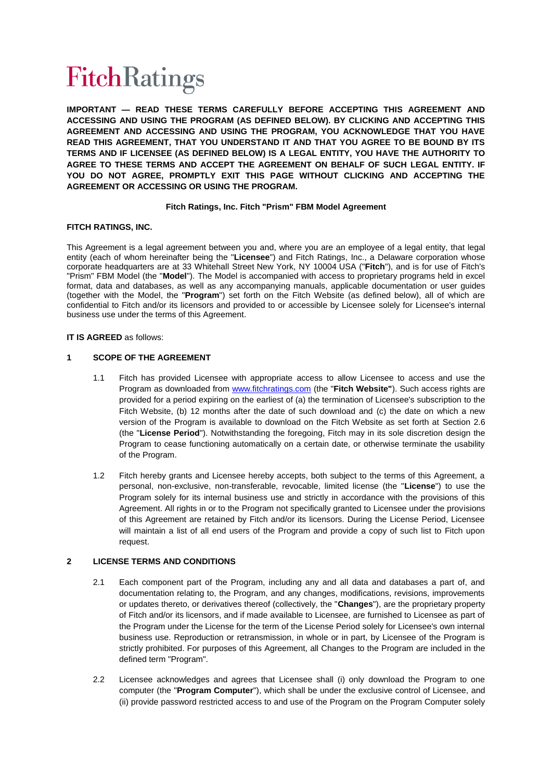# **FitchRatings**

**IMPORTANT — READ THESE TERMS CAREFULLY BEFORE ACCEPTING THIS AGREEMENT AND ACCESSING AND USING THE PROGRAM (AS DEFINED BELOW). BY CLICKING AND ACCEPTING THIS AGREEMENT AND ACCESSING AND USING THE PROGRAM, YOU ACKNOWLEDGE THAT YOU HAVE READ THIS AGREEMENT, THAT YOU UNDERSTAND IT AND THAT YOU AGREE TO BE BOUND BY ITS TERMS AND IF LICENSEE (AS DEFINED BELOW) IS A LEGAL ENTITY, YOU HAVE THE AUTHORITY TO AGREE TO THESE TERMS AND ACCEPT THE AGREEMENT ON BEHALF OF SUCH LEGAL ENTITY. IF YOU DO NOT AGREE, PROMPTLY EXIT THIS PAGE WITHOUT CLICKING AND ACCEPTING THE AGREEMENT OR ACCESSING OR USING THE PROGRAM.**

## **Fitch Ratings, Inc. Fitch "Prism" FBM Model Agreement**

## **FITCH RATINGS, INC.**

This Agreement is a legal agreement between you and, where you are an employee of a legal entity, that legal entity (each of whom hereinafter being the "**Licensee**") and Fitch Ratings, Inc., a Delaware corporation whose corporate headquarters are at 33 Whitehall Street New York, NY 10004 USA ("**Fitch**"), and is for use of Fitch's "Prism" FBM Model (the "**Model**"). The Model is accompanied with access to proprietary programs held in excel format, data and databases, as well as any accompanying manuals, applicable documentation or user guides (together with the Model, the "**Program**") set forth on the Fitch Website (as defined below), all of which are confidential to Fitch and/or its licensors and provided to or accessible by Licensee solely for Licensee's internal business use under the terms of this Agreement.

#### **IT IS AGREED** as follows:

#### **1 SCOPE OF THE AGREEMENT**

- 1.1 Fitch has provided Licensee with appropriate access to allow Licensee to access and use the Program as downloaded from [www.fitchratings.com](http://www.fitchratings.com/) (the "**Fitch Website"**). Such access rights are provided for a period expiring on the earliest of (a) the termination of Licensee's subscription to the Fitch Website, (b) 12 months after the date of such download and (c) the date on which a new version of the Program is available to download on the Fitch Website as set forth at Section [2.6](#page-1-0) (the "**License Period**"). Notwithstanding the foregoing, Fitch may in its sole discretion design the Program to cease functioning automatically on a certain date, or otherwise terminate the usability of the Program.
- 1.2 Fitch hereby grants and Licensee hereby accepts, both subject to the terms of this Agreement, a personal, non-exclusive, non-transferable, revocable, limited license (the "**License**") to use the Program solely for its internal business use and strictly in accordance with the provisions of this Agreement. All rights in or to the Program not specifically granted to Licensee under the provisions of this Agreement are retained by Fitch and/or its licensors. During the License Period, Licensee will maintain a list of all end users of the Program and provide a copy of such list to Fitch upon request.

## <span id="page-0-0"></span>**2 LICENSE TERMS AND CONDITIONS**

- 2.1 Each component part of the Program, including any and all data and databases a part of, and documentation relating to, the Program, and any changes, modifications, revisions, improvements or updates thereto, or derivatives thereof (collectively, the "**Changes**"), are the proprietary property of Fitch and/or its licensors, and if made available to Licensee, are furnished to Licensee as part of the Program under the License for the term of the License Period solely for Licensee's own internal business use. Reproduction or retransmission, in whole or in part, by Licensee of the Program is strictly prohibited. For purposes of this Agreement, all Changes to the Program are included in the defined term "Program".
- 2.2 Licensee acknowledges and agrees that Licensee shall (i) only download the Program to one computer (the "**Program Computer**"), which shall be under the exclusive control of Licensee, and (ii) provide password restricted access to and use of the Program on the Program Computer solely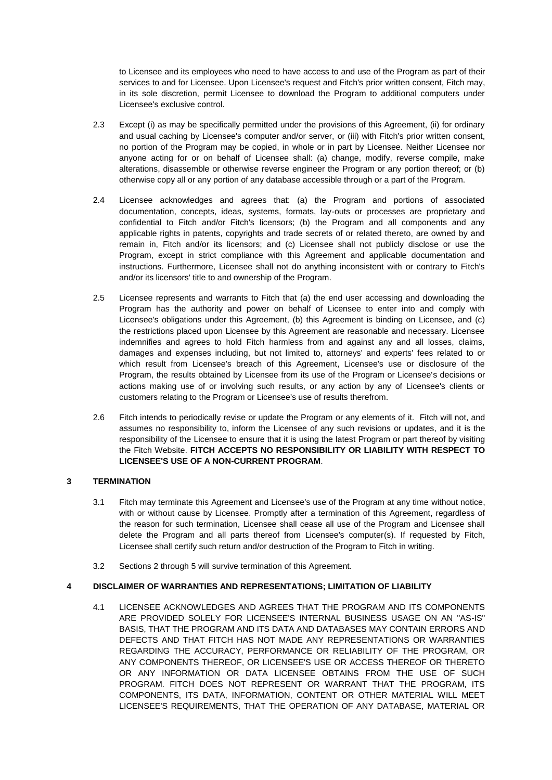to Licensee and its employees who need to have access to and use of the Program as part of their services to and for Licensee. Upon Licensee's request and Fitch's prior written consent, Fitch may, in its sole discretion, permit Licensee to download the Program to additional computers under Licensee's exclusive control.

- 2.3 Except (i) as may be specifically permitted under the provisions of this Agreement, (ii) for ordinary and usual caching by Licensee's computer and/or server, or (iii) with Fitch's prior written consent, no portion of the Program may be copied, in whole or in part by Licensee. Neither Licensee nor anyone acting for or on behalf of Licensee shall: (a) change, modify, reverse compile, make alterations, disassemble or otherwise reverse engineer the Program or any portion thereof; or (b) otherwise copy all or any portion of any database accessible through or a part of the Program.
- 2.4 Licensee acknowledges and agrees that: (a) the Program and portions of associated documentation, concepts, ideas, systems, formats, lay-outs or processes are proprietary and confidential to Fitch and/or Fitch's licensors; (b) the Program and all components and any applicable rights in patents, copyrights and trade secrets of or related thereto, are owned by and remain in, Fitch and/or its licensors; and (c) Licensee shall not publicly disclose or use the Program, except in strict compliance with this Agreement and applicable documentation and instructions. Furthermore, Licensee shall not do anything inconsistent with or contrary to Fitch's and/or its licensors' title to and ownership of the Program.
- 2.5 Licensee represents and warrants to Fitch that (a) the end user accessing and downloading the Program has the authority and power on behalf of Licensee to enter into and comply with Licensee's obligations under this Agreement, (b) this Agreement is binding on Licensee, and (c) the restrictions placed upon Licensee by this Agreement are reasonable and necessary. Licensee indemnifies and agrees to hold Fitch harmless from and against any and all losses, claims, damages and expenses including, but not limited to, attorneys' and experts' fees related to or which result from Licensee's breach of this Agreement, Licensee's use or disclosure of the Program, the results obtained by Licensee from its use of the Program or Licensee's decisions or actions making use of or involving such results, or any action by any of Licensee's clients or customers relating to the Program or Licensee's use of results therefrom.
- <span id="page-1-0"></span>2.6 Fitch intends to periodically revise or update the Program or any elements of it. Fitch will not, and assumes no responsibility to, inform the Licensee of any such revisions or updates, and it is the responsibility of the Licensee to ensure that it is using the latest Program or part thereof by visiting the Fitch Website. **FITCH ACCEPTS NO RESPONSIBILITY OR LIABILITY WITH RESPECT TO LICENSEE'S USE OF A NON-CURRENT PROGRAM**.

## **3 TERMINATION**

- 3.1 Fitch may terminate this Agreement and Licensee's use of the Program at any time without notice, with or without cause by Licensee. Promptly after a termination of this Agreement, regardless of the reason for such termination, Licensee shall cease all use of the Program and Licensee shall delete the Program and all parts thereof from Licensee's computer(s). If requested by Fitch, Licensee shall certify such return and/or destruction of the Program to Fitch in writing.
- 3.2 Section[s 2](#page-0-0) through [5](#page-3-0) will survive termination of this Agreement.

## **4 DISCLAIMER OF WARRANTIES AND REPRESENTATIONS; LIMITATION OF LIABILITY**

4.1 LICENSEE ACKNOWLEDGES AND AGREES THAT THE PROGRAM AND ITS COMPONENTS ARE PROVIDED SOLELY FOR LICENSEE'S INTERNAL BUSINESS USAGE ON AN "AS-IS" BASIS, THAT THE PROGRAM AND ITS DATA AND DATABASES MAY CONTAIN ERRORS AND DEFECTS AND THAT FITCH HAS NOT MADE ANY REPRESENTATIONS OR WARRANTIES REGARDING THE ACCURACY, PERFORMANCE OR RELIABILITY OF THE PROGRAM, OR ANY COMPONENTS THEREOF, OR LICENSEE'S USE OR ACCESS THEREOF OR THERETO OR ANY INFORMATION OR DATA LICENSEE OBTAINS FROM THE USE OF SUCH PROGRAM. FITCH DOES NOT REPRESENT OR WARRANT THAT THE PROGRAM, ITS COMPONENTS, ITS DATA, INFORMATION, CONTENT OR OTHER MATERIAL WILL MEET LICENSEE'S REQUIREMENTS, THAT THE OPERATION OF ANY DATABASE, MATERIAL OR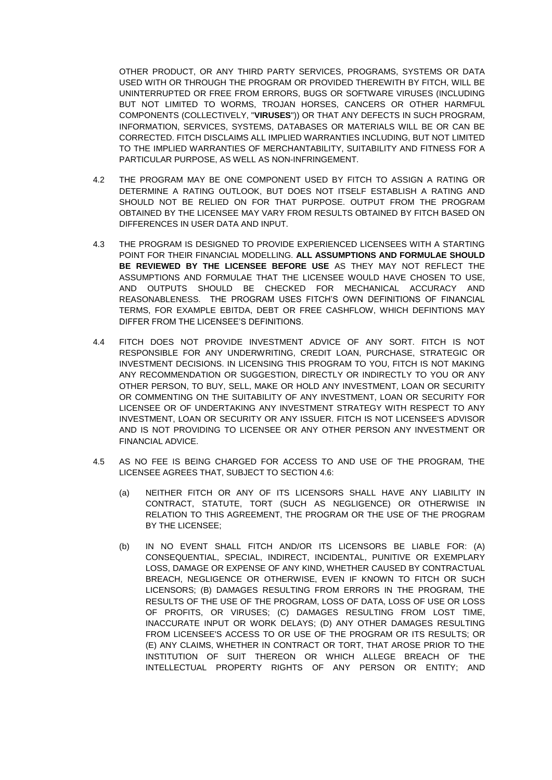OTHER PRODUCT, OR ANY THIRD PARTY SERVICES, PROGRAMS, SYSTEMS OR DATA USED WITH OR THROUGH THE PROGRAM OR PROVIDED THEREWITH BY FITCH, WILL BE UNINTERRUPTED OR FREE FROM ERRORS, BUGS OR SOFTWARE VIRUSES (INCLUDING BUT NOT LIMITED TO WORMS, TROJAN HORSES, CANCERS OR OTHER HARMFUL COMPONENTS (COLLECTIVELY, "**VIRUSES**")) OR THAT ANY DEFECTS IN SUCH PROGRAM, INFORMATION, SERVICES, SYSTEMS, DATABASES OR MATERIALS WILL BE OR CAN BE CORRECTED. FITCH DISCLAIMS ALL IMPLIED WARRANTIES INCLUDING, BUT NOT LIMITED TO THE IMPLIED WARRANTIES OF MERCHANTABILITY, SUITABILITY AND FITNESS FOR A PARTICULAR PURPOSE, AS WELL AS NON-INFRINGEMENT.

- 4.2 THE PROGRAM MAY BE ONE COMPONENT USED BY FITCH TO ASSIGN A RATING OR DETERMINE A RATING OUTLOOK, BUT DOES NOT ITSELF ESTABLISH A RATING AND SHOULD NOT BE RELIED ON FOR THAT PURPOSE. OUTPUT FROM THE PROGRAM OBTAINED BY THE LICENSEE MAY VARY FROM RESULTS OBTAINED BY FITCH BASED ON DIFFERENCES IN USER DATA AND INPUT.
- 4.3 THE PROGRAM IS DESIGNED TO PROVIDE EXPERIENCED LICENSEES WITH A STARTING POINT FOR THEIR FINANCIAL MODELLING. **ALL ASSUMPTIONS AND FORMULAE SHOULD BE REVIEWED BY THE LICENSEE BEFORE USE** AS THEY MAY NOT REFLECT THE ASSUMPTIONS AND FORMULAE THAT THE LICENSEE WOULD HAVE CHOSEN TO USE, AND OUTPUTS SHOULD BE CHECKED FOR MECHANICAL ACCURACY AND REASONABLENESS. THE PROGRAM USES FITCH'S OWN DEFINITIONS OF FINANCIAL TERMS, FOR EXAMPLE EBITDA, DEBT OR FREE CASHFLOW, WHICH DEFINTIONS MAY DIFFER FROM THE LICENSEE'S DEFINITIONS.
- 4.4 FITCH DOES NOT PROVIDE INVESTMENT ADVICE OF ANY SORT. FITCH IS NOT RESPONSIBLE FOR ANY UNDERWRITING, CREDIT LOAN, PURCHASE, STRATEGIC OR INVESTMENT DECISIONS. IN LICENSING THIS PROGRAM TO YOU, FITCH IS NOT MAKING ANY RECOMMENDATION OR SUGGESTION, DIRECTLY OR INDIRECTLY TO YOU OR ANY OTHER PERSON, TO BUY, SELL, MAKE OR HOLD ANY INVESTMENT, LOAN OR SECURITY OR COMMENTING ON THE SUITABILITY OF ANY INVESTMENT, LOAN OR SECURITY FOR LICENSEE OR OF UNDERTAKING ANY INVESTMENT STRATEGY WITH RESPECT TO ANY INVESTMENT, LOAN OR SECURITY OR ANY ISSUER. FITCH IS NOT LICENSEE'S ADVISOR AND IS NOT PROVIDING TO LICENSEE OR ANY OTHER PERSON ANY INVESTMENT OR FINANCIAL ADVICE.
- <span id="page-2-0"></span>4.5 AS NO FEE IS BEING CHARGED FOR ACCESS TO AND USE OF THE PROGRAM, THE LICENSEE AGREES THAT, SUBJECT TO SECTION [4.6:](#page-3-1)
	- (a) NEITHER FITCH OR ANY OF ITS LICENSORS SHALL HAVE ANY LIABILITY IN CONTRACT, STATUTE, TORT (SUCH AS NEGLIGENCE) OR OTHERWISE IN RELATION TO THIS AGREEMENT, THE PROGRAM OR THE USE OF THE PROGRAM BY THE LICENSEE;
	- (b) IN NO EVENT SHALL FITCH AND/OR ITS LICENSORS BE LIABLE FOR: (A) CONSEQUENTIAL, SPECIAL, INDIRECT, INCIDENTAL, PUNITIVE OR EXEMPLARY LOSS, DAMAGE OR EXPENSE OF ANY KIND, WHETHER CAUSED BY CONTRACTUAL BREACH, NEGLIGENCE OR OTHERWISE, EVEN IF KNOWN TO FITCH OR SUCH LICENSORS; (B) DAMAGES RESULTING FROM ERRORS IN THE PROGRAM, THE RESULTS OF THE USE OF THE PROGRAM, LOSS OF DATA, LOSS OF USE OR LOSS OF PROFITS, OR VIRUSES; (C) DAMAGES RESULTING FROM LOST TIME, INACCURATE INPUT OR WORK DELAYS; (D) ANY OTHER DAMAGES RESULTING FROM LICENSEE'S ACCESS TO OR USE OF THE PROGRAM OR ITS RESULTS; OR (E) ANY CLAIMS, WHETHER IN CONTRACT OR TORT, THAT AROSE PRIOR TO THE INSTITUTION OF SUIT THEREON OR WHICH ALLEGE BREACH OF THE INTELLECTUAL PROPERTY RIGHTS OF ANY PERSON OR ENTITY; AND